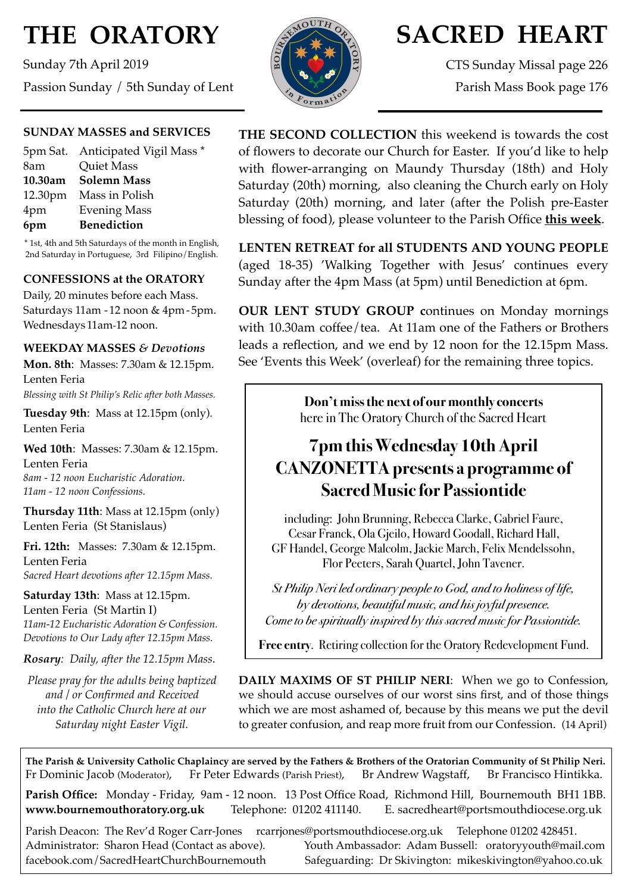# **THE ORATORY**

Sunday 7th April 2019 Passion Sunday / 5th Sunday of Lent



# **SACRED HEART**

CTS Sunday Missal page 226 Parish Mass Book page 176

#### **SUNDAY MASSES and SERVICES**

|     | 5pm Sat. Anticipated Vigil Mass * |
|-----|-----------------------------------|
| 8am | Quiet Mass                        |
|     | 10.30am Solemn Mass               |
|     | 12.30pm Mass in Polish            |
| 4pm | <b>Evening Mass</b>               |
| 6pm | <b>Benediction</b>                |

\* 1st, 4th and 5th Saturdays of the month in English, 2nd Saturday in Portuguese, 3rd Filipino/English.

#### **CONFESSIONS at the ORATORY**

Daily, 20 minutes before each Mass. Saturdays 11am - 12 noon & 4pm- 5pm. Wednesdays 11am-12 noon.

#### **WEEKDAY MASSES** *& Devotions*

**Mon. 8th**: Masses: 7.30am & 12.15pm. Lenten Feria *Blessing with St Philip's Relic after both Masses.*

**Tuesday 9th**: Mass at 12.15pm (only). Lenten Feria

**Wed 10th**: Masses: 7.30am & 12.15pm. Lenten Feria *8am - 12 noon Eucharistic Adoration. 11am - 12 noon Confessions.*

**Thursday 11th**: Mass at 12.15pm (only) Lenten Feria (St Stanislaus)

**Fri. 12th:** Masses: 7.30am & 12.15pm. Lenten Feria *Sacred Heart devotions after 12.15pm Mass.*

**Saturday 13th**: Mass at 12.15pm. Lenten Feria (St Martin I) *11am-12 Eucharistic Adoration & Confession. Devotions to Our Lady after 12.15pm Mass.*

*Rosary: Daily, after the 12.15pm Mass*.

*Please pray for the adults being baptized and / or Confirmed and Received into the Catholic Church here at our Saturday night Easter Vigil.*

**THE SECOND COLLECTION** this weekend is towards the cost of flowers to decorate our Church for Easter. If you'd like to help with flower-arranging on Maundy Thursday (18th) and Holy Saturday (20th) morning, also cleaning the Church early on Holy Saturday (20th) morning, and later (after the Polish pre-Easter blessing of food), please volunteer to the Parish Office **this week**.

**LENTEN RETREAT for all STUDENTS AND YOUNG PEOPLE**  (aged 18-35) 'Walking Together with Jesus' continues every Sunday after the 4pm Mass (at 5pm) until Benediction at 6pm.

**OUR LENT STUDY GROUP c**ontinues on Monday mornings with 10.30am coffee/tea. At 11am one of the Fathers or Brothers leads a reflection, and we end by 12 noon for the 12.15pm Mass. See 'Events this Week' (overleaf) for the remaining three topics.

> **Don't miss the next of our monthly concerts**  here in The Oratory Church of the Sacred Heart

# **7pm this Wednesday 10th April CANZONETTA presents a programme of Sacred Music for Passiontide**

including: John Brunning, Rebecca Clarke, Gabriel Faure, Cesar Franck, Ola Gjeilo, Howard Goodall, Richard Hall, GF Handel, George Malcolm, Jackie March, Felix Mendelssohn, Flor Peeters, Sarah Quartel, John Tavener.

*St Philip Neri led ordinary people to God, and to holiness of life, by devotions, beautiful music, and his joyful presence. Come to be spiritually inspired by this sacred music for Passiontide.* 

**Free entry**. Retiring collection for the Oratory Redevelopment Fund.

**DAILY MAXIMS OF ST PHILIP NERI**: When we go to Confession, we should accuse ourselves of our worst sins first, and of those things which we are most ashamed of, because by this means we put the devil to greater confusion, and reap more fruit from our Confession. (14 April)

**The Parish & University Catholic Chaplaincy are served by the Fathers & Brothers of the Oratorian Community of St Philip Neri.** Fr Dominic Jacob (Moderator), Fr Peter Edwards (Parish Priest), Br Andrew Wagstaff, Br Francisco Hintikka.

**Parish Office:** Monday - Friday, 9am - 12 noon. 13 Post Office Road, Richmond Hill, Bournemouth BH1 1BB. **[www.bournemouthoratory.org.uk](http://www.bournemoithoratory.org.uk)** Telephone: 01202 411140. E. [sacredheart@portsmouthdiocese.org.uk](mailto:sacredheart@portsmouthdiocese.org.uk)

Parish Deacon: The Rev'd Roger Carr-Jones [rcarrjones@portsmouthdiocese.org.uk](mailto:rcarrjones@portsmouthdiocese.org.uk) Telephone 01202 428451. Administrator: Sharon Head (Contact as above). Youth Ambassador: Adam Bussell: [oratoryyouth@mail.com](http://oratoryyouth.mail.com) [facebook.com/SacredHeartChurchBournemouth](http://facebook.com/SaccredHeartChurchBournemouth) Safeguarding: Dr Skivington: mikeskivington@yahoo.co.uk